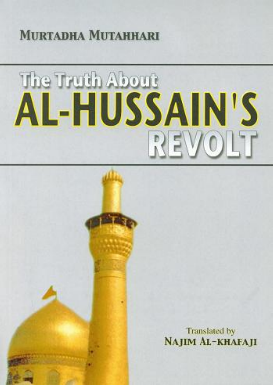#### **MITRTADHA MITTAHHARI**

#### The Truth About **AL-HUSSAIN'S** REVOLT

**Translated by** NAJIM AL-KHAFAJI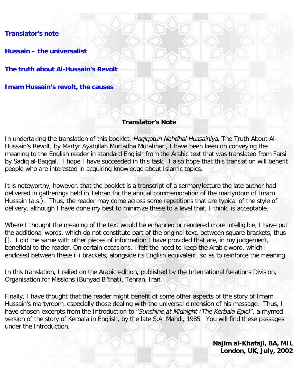**[Translator's note](#page-2-0)**

**[Hussain – the universalist](#page-3-0)**

**[The truth about Al-Hussain's Revolt](#page-6-0)**

**[Imam Hussain's revolt, the causes](#page-13-0)**

### **Translator's Note**

In undertaking the translation of this booklet, Haqiqatun Nahdhal Hussainiya, The Truth About Al-Hussain's Revolt, by Martyr Ayatollah Murtadha Mutahhari, I have been keen on conveying the meaning to the English reader in standard English from the Arabic text that was translated from Farsi by Sadiq al-Baqqal. I hope I have succeeded in this task. I also hope that this translation will benefit people who are interested in acquiring knowledge about Islamic topics.

It is noteworthy, however, that the booklet is a transcript of a sermon/lecture the late author had delivered in gatherings held in Tehran for the annual commemoration of the martyrdom of Imam Hussain (a.s.). Thus, the reader may come across some repetitions that are typical of the style of delivery, although I have done my best to minimize these to a level that, I think, is acceptable.

Where I thought the meaning of the text would be enhanced or rendered more intelligible, I have put the additional words, which do not constitute part of the original text, between square brackets, thus []. I did the same with other pieces of information I have provided that are, in my judgement, beneficial to the reader. On certain occasions, I felt the need to keep the Arabic word, which I enclosed between these ( ) brackets, alongside its English equivalent, so as to reinforce the meaning.

In this translation, I relied on the Arabic edition, published by the International Relations Division, Organisation for Missions (Bunyad Bi'that), Tehran, Iran.

Finally, I have thought that the reader might benefit of some other aspects of the story of Imam Hussain's martyrdom, especially those dealing with the universal dimension of his message. Thus, I have chosen excerpts from the Introduction to "Sunshine at Midnight (The Kerbala Epic)", a rhymed version of the story of Kerbala in English, by the late S.A. Mahdi, 1985. You will find these passages under the Introduction.

> **Najim al-Khafaji, BA, MIL London, UK, July, 2002**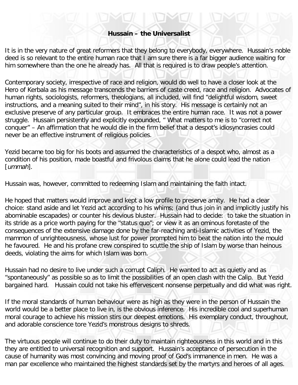# **Hussain – the Universalist**

<span id="page-2-0"></span>It is in the very nature of great reformers that they belong to everybody, everywhere. Hussain's noble deed is so relevant to the entire human race that I am sure there is a far bigger audience waiting for him somewhere than the one he already has. All that is required is to draw people's attention.

Contemporary society, irrespective of race and religion, would do well to have a closer look at the Hero of Kerbala as his message transcends the barriers of caste creed, race and religion. Advocates of human rights, sociologists, reformers, theologians, all included, will find "delightful wisdom, sweet instructions, and a meaning suited to their mind", in his story. His message is certainly not an exclusive preserve of any particular group. It embraces the entire human race. It was not a power struggle. Hussain persistently and explicitly expounded, " What matters to me is to "correct not conquer" – An affirmation that he would die in the firm belief that a despot's idiosyncrasies could never be an effective instrument of religious policies.

Yezid became too big for his boots and assumed the characteristics of a despot who, almost as a condition of his position, made boastful and frivolous claims that he alone could lead the nation [ummah].

Hussain was, however, committed to redeeming Islam and maintaining the faith intact.

He hoped that matters would improve and kept a low profile to preserve amity. He had a clear choice: stand aside and let Yezid act according to his whims; (and thus join in and implicitly justify his abominable escapades) or counter his devious bluster. Hussain had to decide: to take the situation in its stride as a price worth paying for the "status quo"; or view it as an ominous foretaste of the consequences of the extensive damage done by the far-reaching anti-Islamic activities of Yezid, the mammon of unrighteousness, whose lust for power prompted him to beat the nation into the mould he favoured. He and his profane crew conspired to scuttle the ship of Islam by worse than heinous deeds, violating the aims for which Islam was born.

Hussain had no desire to live under such a corrupt Caliph. He wanted to act as quietly and as "spontaneously" as possible so as to limit the possibilities of an open clash with the Calip. But Yezid bargained hard. Hussain could not take his effervescent nonsense perpetually and did what was right.

If the moral standards of human behaviour were as high as they were in the person of Hussain the world would be a better place to live in, is the obvious inference. His incredible cool and superhuman moral courage to achieve his mission stirs our deepest emotions. His exemplary conduct, throughout, and adorable conscience tore Yezid's monstrous designs to shreds.

The virtuous people will continue to do their duty to maintain righteousness in this world and in this they are entitled to universal recognition and support. Hussain's acceptance of persecution in the cause of humanity was most convincing and moving proof of God's immanence in men. He was a man par excellence who maintained the highest standards set by the martyrs and heroes of all ages.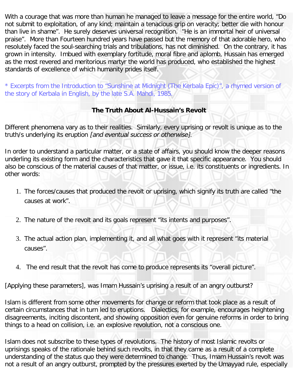With a courage that was more than human he managed to leave a message for the entire world, "Do not submit to exploitation, of any kind; maintain a tenacious grip on veracity; better die with honour than live in shame". He surely deserves universal recognition. "He is an immortal heir of universal praise". More than Fourteen hundred years have passed but the memory of that adorable hero, who resolutely faced the soul-searching trials and tribulations, has not diminished. On the contrary, it has grown in intensity. Imbued with exemplary fortitude, moral fibre and aplomb, Hussain has emerged as the most revered and meritorious martyr the world has produced, who established the highest standards of excellence of which humanity prides itself.

\* Excerpts from the Introduction to "Sunshine at Midnight (The Kerbala Epic)", a rhymed version of the story of Kerbala in English, by the late S.A. Mahdi, 1985.

# **The Truth About Al-Hussain's Revolt**

<span id="page-3-0"></span>Different phenomena vary as to their realities. Similarly, every uprising or revolt is unique as to the truth/s underlying its eruption [and eventual success or otherwise].

In order to understand a particular matter, or a state of affairs, you should know the deeper reasons underling its existing form and the characteristics that gave it that specific appearance. You should also be conscious of the material causes of that matter, or issue, i.e. its constituents or ingredients. In other words:

- 1. The forces/causes that produced the revolt or uprising, which signify its truth are called "the causes at work".
- 2. The nature of the revolt and its goals represent "its intents and purposes".
- 3. The actual action plan, implementing it, and all what goes with it represent "its material causes".
- 4. The end result that the revolt has come to produce represents its "overall picture".

[Applying these parameters], was Imam Hussain's uprising a result of an angry outburst?

Islam is different from some other movements for change or reform that took place as a result of certain circumstances that in turn led to eruptions. Dialectics, for example, encourages heightening disagreements, inciting discontent, and showing opposition even for genuine reforms in order to bring things to a head on collision, i.e. an explosive revolution, not a conscious one.

Islam does not subscribe to these types of revolutions. The history of most Islamic revolts or uprisings speaks of the rationale behind such revolts, in that they came as a result of a complete understanding of the status quo they were determined to change. Thus, Imam Hussain's revolt was not a result of an angry outburst, prompted by the pressures exerted by the Umayyad rule, especially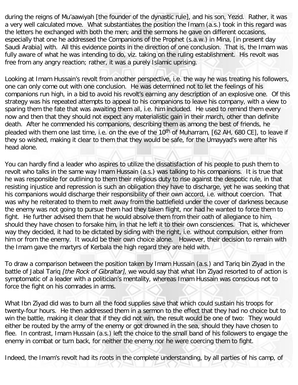during the reigns of Mu'aawiyah [the founder of the dynastic rule], and his son, Yezid. Rather, it was a very well calculated move. What substantiates the position the Imam (a.s.) took in this regard was the letters he exchanged with both the men; and the sermons he gave on different occasions, especially that one he addressed the Companions of the Prophet (s.a.w.) in Mina, [in present day Saudi Arabia] with. All this evidence points in the direction of one conclusion. That is, the Imam was fully aware of what he was intending to do, viz. taking on the ruling establishment. His revolt was free from any angry reaction; rather, it was a purely Islamic uprising.

Looking at Imam Hussain's revolt from another perspective, i.e. the way he was treating his followers, one can only come out with one conclusion. He was determined not to let the feelings of his companions run high, in a bid to avoid his revolt's earning any description of an explosive one. Of this strategy was his repeated attempts to appeal to his companions to leave his company, with a view to sparing them the fate that was awaiting them all, i.e. him included. He used to remind them every now and then that they should not expect any materialistic gain in their march, other than definite death. After he commended his companions, describing them as among the best of friends, he pleaded with them one last time, i.e. on the eve of the 10<sup>th</sup> of Muharram, [62 AH, 680 CE], to leave if they so wished, making it clear to them that they would be safe, for the Umayyad's were after his head alone.

You can hardly find a leader who aspires to utilize the dissatisfaction of his people to push them to revolt who talks in the same way Imam Hussain (a.s.) was talking to his companions. It is true that he was responsible for outlining to them their religious duty to rise against the despotic rule, in that resisting injustice and repression is such an obligation they have to discharge, yet he was seeking that his companions would discharge their responsibility of their own accord, i.e. without coercion. That was why he reiterated to them to melt away from the battlefield under the cover of darkness because the enemy was not going to pursue them had they taken flight, nor had he wanted to force them to fight. He further advised them that he would absolve them from their oath of allegiance to him, should they have chosen to forsake him, in that he left it to their own consciences. That is, whichever way they decided, it had to be dictated by siding with the right, i.e. without compulsion, either from him or from the enemy. It would be their own choice alone. However, their decision to remain with the Imam gave the martyrs of Kerbala the high regard they are held with.

To draw a comparison between the position taken by Imam Hussain (a.s.) and Tariq bin Ziyad in the battle of Jabal Tariq *[the Rock of Gibraltar]*, we would say that what Ibn Ziyad resorted to of action is symptomatic of a leader with a politician's mentality, whereas Imam Hussain was conscious not to force the fight on his comrades in arms.

What Ibn Ziyad did was to burn all the food supplies save that which could sustain his troops for twenty-four hours. He then addressed them in a sermon to the effect that they had no choice but to win the battle, making it clear that if they did not win, the result would be one of two: They would either be routed by the army of the enemy or got drowned in the sea, should they have chosen to flee. In contrast, Imam Hussain (a.s.) left the choice to the small band of his followers to engage the enemy in combat or turn back, for neither the enemy nor he were coercing them to fight.

Indeed, the Imam's revolt had its roots in the complete understanding, by all parties of his camp, of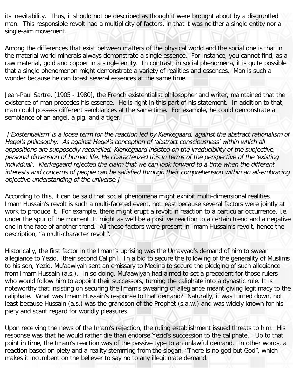its inevitability. Thus, it should not be described as though it were brought about by a disgruntled man. This responsible revolt had a multiplicity of factors, in that it was neither a single entity nor a single-aim movement.

Among the differences that exist between matters of the physical world and the social one is that in the material world minerals always demonstrate a single essence. For instance, you cannot find, as a raw material, gold and copper in a single entity. In contrast, in social phenomena, it is quite possible that a single phenomenon might demonstrate a variety of realities and essences. Man is such a wonder because he can boast several essences at the same time.

Jean-Paul Sartre, [1905 - 1980], the French existentialist philosopher and writer, maintained that the existence of man precedes his essence. He is right in this part of his statement. In addition to that, man could possess different semblances at the same time. For example, he could demonstrate a semblance of an angel, a pig, and a tiger.

['Existentialism' is a loose term for the reaction led by Kierkegaard, against the abstract rationalism of Hegel's philosophy. As against Hegel's conception of 'abstract consciousness' within which all oppositions are supposedly reconciled, Kierkegaard insisted on the irreducibility of the subjective, personal dimension of human life. He characterized this in terms of the perspective of the 'existing individual'. Kierkegaard rejected the claim that we can look forward to a time when the different interests and concerns of people can be satisfied through their comprehension within an all-embracing objective understanding of the universe.]

According to this, it can be said that social phenomena might exhibit multi-dimensional realities. Imam Hussain's revolt is such a multi-faceted event, not least because several factors were jointly at work to produce it. For example, there might erupt a revolt in reaction to a particular occurrence, i.e. under the spur of the moment. It might as well be a positive reaction to a certain trend and a negative one in the face of another trend. All these factors were present in Imam Hussain's revolt, hence the description, "a multi-character revolt".

Historically, the first factor in the Imam's uprising was the Umayyad's demand of him to swear allegiance to Yezid, [their second Caliph]. In a bid to secure the following of the generality of Muslims to his son, Yezid, Mu'aawiyah sent an emissary to Medina to secure the pledging of such allegiance from Imam Hussain (a.s.). In so doing, Mu'aawiyah had aimed to set a precedent for those rulers who would follow him to appoint their successors, turning the caliphate into a dynastic rule. It is noteworthy that insisting on securing the Imam's swearing of allegiance meant giving legitimacy to the caliphate. What was Imam Hussain's response to that demand? Naturally, it was turned down, not least because Hussain (a.s.) was the grandson of the Prophet (s.a.w.) and was widely known for his piety and scant regard for worldly pleasures.

Upon receiving the news of the Imam's rejection, the ruling establishment issued threats to him. His response was that he would rather die than endorse Yezid's succession to the caliphate. Up to that point in time, the Imam's reaction was of the passive type to an unlawful demand. In other words, a reaction based on piety and a reality stemming from the slogan, "There is no god but God", which makes it incumbent on the believer to say no to any illegitimate demand.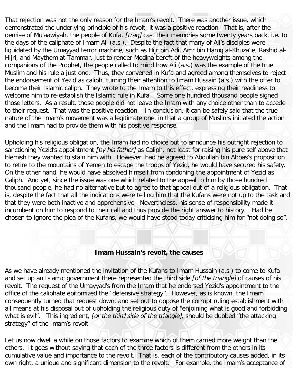That rejection was not the only reason for the Imam's revolt. There was another issue, which demonstrated the underlying principle of his revolt; it was a positive reaction. That is, after the demise of Mu'aawiyah, the people of Kufa, *[Iraq]* cast their memories some twenty years back, i.e. to the days of the caliphate of Imam Ali (a.s.). Despite the fact that many of Ali's disciples were liquidated by the Umayyad terror machine, such as Hijr bin Adi, Amr bin Hamq al-Khuza'ie, Rashid al-Hijri, and Maythem at-Tammar, just to render Medina bereft of the heavyweights among the companions of the Prophet, the people called to mind how Ali (a.s.) was the example of the true Muslim and his rule a just one. Thus, they convened in Kufa and agreed among themselves to reject the endorsement of Yezid as caliph, turning their attention to Imam Hussain (a.s.) with the offer to become their Islamic caliph. They wrote to the Imam to this effect, expressing their readiness to welcome him to re-establish the Islamic rule in Kufa. Some one hundred thousand people signed those letters. As a result, those people did not leave the Imam with any choice other than to accede to their request. That was the positive reaction. In conclusion, it can be safely said that the true nature of the Imam's movement was a legitimate one, in that a group of Muslims initiated the action and the Imam had to provide them with his positive response.

Upholding his religious obligation, the Imam had no choice but to announce his outright rejection to sanctioning Yezid's appointment *[by his father]* as Caliph, not least for raising his pure self above that blemish they wanted to stain him with. However, had he agreed to Abdullah bin Abbas's proposition to retire to the mountains of Yemen to escape the troops of Yezid, he would have secured his safety. On the other hand, he would have absolved himself from condoning the appointment of Yezid as Caliph. And yet, since the issue was one which related to the appeal to him by those hundred thousand people, he had no alternative but to agree to that appeal out of a religious obligation. That is, despite the fact that all the indications were telling him that the Kufans were not up to the task and that they were both inactive and apprehensive. Nevertheless, his sense of responsibility made it incumbent on him to respond to their call and thus provide the right answer to history. Had he chosen to ignore the plea of the Kufans, we would have stood today criticising him for "not doing so".

## **Imam Hussain's revolt, the causes**

<span id="page-6-0"></span>As we have already mentioned the invitation of the Kufans to Imam Hussain (a.s.) to come to Kufa and set up an Islamic government there represented the third side [of the triangle] of causes of his revolt. The request of the Umayyad's from the Imam that he endorsed Yezid's appointment to the office of the caliphate epitomized the "defensive strategy". However, as is known, the Imam consequently turned that request down, and set out to oppose the corrupt ruling establishment with all means at his disposal out of upholding the religious duty of "enjoining what is good and forbidding what is evil". This ingredient, for the third side of the triangle), should be dubbed "the attacking strategy" of the Imam's revolt.

Let us now dwell a while on those factors to examine which of them carried more weight than the others. It goes without saying that each of the three factors is different from the others in its cumulative value and importance to the revolt. That is, each of the contributory causes added, in its own right, a unique and significant dimension to the revolt. For example, the Imam's acceptance of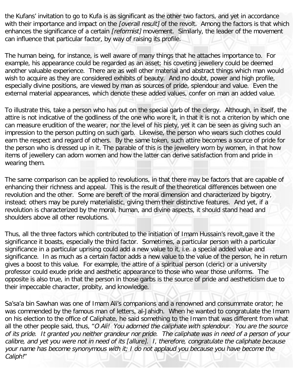the Kufans' invitation to go to Kufa is as significant as the other two factors, and yet in accordance with their importance and impact on the *[overall result]* of the revolt. Among the factors is that which enhances the significance of a certain [reformist] movement. Similarly, the leader of the movement can influence that particular factor, by way of raising its profile.

The human being, for instance, is well aware of many things that he attaches importance to. For example, his appearance could be regarded as an asset; his coveting jewellery could be deemed another valuable experience. There are as well other material and abstract things which man would wish to acquire as they are considered exhibits of beauty. And no doubt, power and high profile, especially divine positions, are viewed by man as sources of pride, splendour and value. Even the external material appearances, which denote these added values, confer on man an added value.

To illustrate this, take a person who has put on the special garb of the clergy. Although, in itself, the attire is not indicative of the godliness of the one who wore it, in that it is not a criterion by which one can measure erudition of the wearer, nor the level of his piety, yet it can be seen as giving such an impression to the person putting on such garb. Likewise, the person who wears such clothes could earn the respect and regard of others. By the same token, such attire becomes a source of pride for the person who is dressed up in it. The parable of this is the jewellery worn by women, in that how items of jewellery can adorn women and how the latter can derive satisfaction from and pride in wearing them.

The same comparison can be applied to revolutions, in that there may be factors that are capable of enhancing their richness and appeal. This is the result of the theoretical differences between one revolution and the other. Some are bereft of the moral dimension and characterized by bigotry, instead; others may be purely materialistic, giving them their distinctive features. And yet, if a revolution is characterized by the moral, human, and divine aspects, it should stand head and shoulders above all other revolutions.

Thus, all the three factors which contributed to the initiation of Imam Hussain's revolt,gave it the significance it boasts, especially the third factor. Sometimes, a particular person with a particular significance in a particular uprising could add a new value to it, i.e. a special added value and significance. In as much as a certain factor adds a new value to the value of the person, he in return gives a boost to this value. For example, the attire of a spiritual person (cleric) or a university professor could exude pride and aesthetic appearance to those who wear those uniforms. The opposite is also true, in that the person in those garbs is the source of pride and aestheticism due to their impeccable character, probity, and knowledge.

Sa'sa'a bin Sawhan was one of Imam Ali's companions and a renowned and consummate orator; he was commended by the famous man of letters, al-Jahidh. When he wanted to congratulate the Imam on his election to the office of Caliphate, he said something to the Imam that was different from what all the other people said, thus, "O Ali! You adorned the caliphate with splendour. You are the source of its pride. It granted you neither grandeur nor pride. The caliphate was in need of a person of your calibre, and yet you were not in need of its [allure]. I, therefore, congratulate the caliphate because your name has become synonymous with it; I do not applaud you because you have become the Caliph!"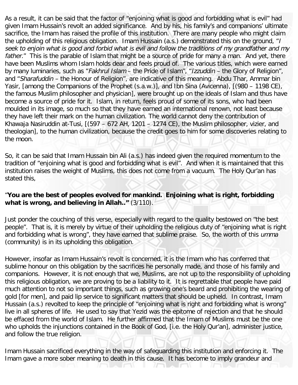As a result, it can be said that the factor of "enjoining what is good and forbidding what is evil" had given Imam Hussain's revolt an added significance. And by his, his family's and companions' ultimate sacrifice, the Imam has raised the profile of this institution. There are many people who might claim the upholding of this religious obligation. Imam Hussain (a.s.) demonstrated this on the ground, "I seek to enjoin what is good and forbid what is evil and follow the traditions of my grandfather and my father." This is the parable of Islam that might be a source of pride for many a man. And yet, there have been Muslims whom Islam holds dear and feels proud of. The various titles, which were earned by many luminaries, such as "Fakhrul Islam - the Pride of Islam", "Izzuddin - the Glory of Religion", and "Sharafuddin – the Honour of Religion", are indicative of this meaning. Abdu Thar, Ammar bin Yasir, [among the Companions of the Prophet (s.a.w.)], and Ibn Sina (Avicenna), [(980 – 1198 CE), the famous Muslim philosopher and physician], were brought up on the ideals of Islam and thus have become a source of pride for it. Islam, in return, feels proud of some of its sons, who had been moulded in its image, so much so that they have earned an international renown, not least because they have left their mark on the human civilization. The world cannot deny the contribution of Khawaja Nasiruddin at-Tusi, [(597 – 672 AH, 1201 – 1274 CE), the Muslim philosopher, vizier, and theologian], to the human civilization, because the credit goes to him for some discoveries relating to the moon.

So, it can be said that Imam Hussain bin Ali (a.s.) has indeed given the required momentum to the tradition of "enjoining what is good and forbidding what is evil". And when it is maintained that this institution raises the weight of Muslims, this does not come from a vacuum. The Holy Qur'an has stated this,

## "**You are the best of peoples evolved for mankind. Enjoining what is right, forbidding what is wrong, and believing in Allah.."** (3/110).

Just ponder the couching of this verse, especially with regard to the quality bestowed on "the best people". That is, it is merely by virtue of their upholding the religious duty of "enjoining what is right and forbidding what is wrong", they have earned that sublime praise. So, the worth of this umma (community) is in its upholding this obligation.

However, insofar as Imam Hussain's revolt is concerned, it is the Imam who has conferred that sublime honour on this obligation by the sacrifices he personally made, and those of his family and companions. However, it is not enough that we, Muslims, are not up to the responsibility of upholding this religious obligation, we are proving to be a liability to it. It is regrettable that people have paid much attention to not so important things, such as growing one's beard and prohibiting the wearing of gold [for men], and paid lip service to significant matters that should be upheld. In contrast, Imam Hussain (a.s.) revolted to keep the principle of "enjoining what is right and forbidding what is wrong" live in all spheres of life. He used to say that Yezid was the epitome of rejection and that he should be effaced from the world of Islam. He further affirmed that the Imam of Muslims must be the one who upholds the injunctions contained in the Book of God, [i.e. the Holy Qur'an], administer justice, and follow the true religion.

Imam Hussain sacrificed everything in the way of safeguarding this institution and enforcing it. The Imam gave a more sober meaning to death in this cause. It has become to imply grandeur and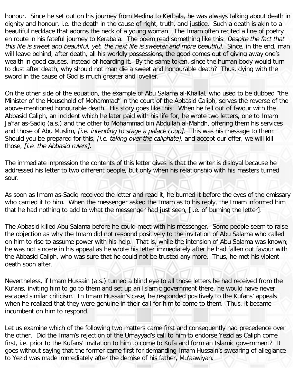honour. Since he set out on his journey from Medina to Kerbala, he was always talking about death in dignity and honour, i.e. the death in the cause of right, truth, and justice. Such a death is akin to a beautiful necklace that adorns the neck of a young woman. The Imam often recited a line of poetry en route in his fateful journey to Kerabala. The poem read something like this: Despite the fact that this life is sweet and beautiful, yet, the next life is sweeter and more beautiful. Since, in the end, man will leave behind, after death, all his worldly possessions, the good comes out of giving away one's wealth in good causes, instead of hoarding it. By the same token, since the human body would turn to dust after death, why should not man die a sweet and honourable death? Thus, dying with the sword in the cause of God is much greater and lovelier.

On the other side of the equation, the example of Abu Salama al-Khallal, who used to be dubbed "the Minister of the Household of Mohammad" in the court of the Abbasid Caliph, serves the reverse of the above-mentioned honourable death. His story goes like this: When he fell out of favour with the Abbasid Caliph, an incident which he later paid with his life for, he wrote two letters, one to Imam Ja'far as-Sadiq (a.s.) and the other to Mohammad bin Abdullah al-Mahdh, offering them his services and those of Abu Muslim, *[i.e. intending to stage a palace coup]*. This was his message to them: Should you be prepared for this, *[i.e. taking over the caliphate]*, and accept our offer, we will kill those, [i.e. the Abbasid rulers].

The immediate impression the contents of this letter gives is that the writer is disloyal because he addressed his letter to two different people, but only when his relationship with his masters turned sour.

As soon as Imam as-Sadiq received the letter and read it, he burned it before the eyes of the emissary who carried it to him. When the messenger asked the Imam as to his reply, the Imam informed him that he had nothing to add to what the messenger had just seen, [i.e. of burning the letter].

The Abbasid killed Abu Salama before he could meet with his messenger. Some people seem to raise the objection as why the Imam did not respond positively to the invitation of Abu Salama who called on him to rise to assume power with his help. That is, while the intension of Abu Salama was known; he was not sincere in his appeal as he wrote his letter immediately after he had fallen out favour with the Abbasid Caliph, who was sure that he could not be trusted any more. Thus, he met his violent death soon after.

Nevertheless, if Imam Hussain (a.s.) turned a blind eye to all those letters he had received from the Kufans, inviting him to go to them and set up an Islamic government there, he would have never escaped similar criticism. In Imam Hussain's case, he responded positively to the Kufans' appeals when he realized that they were genuine in their call for him to come to them. Thus, it became incumbent on him to respond.

Let us examine which of the following two matters came first and consequently had precedence over the other. Did the Imam's rejection of the Umayyad's call to him to endorse Yezid as Caliph come first, i.e. prior to the Kufans' invitation to him to come to Kufa and form an Islamic government? It goes without saying that the former came first for demanding Imam Hussain's swearing of allegiance to Yezid was made immediately after the demise of his father, Mu'aawiyah.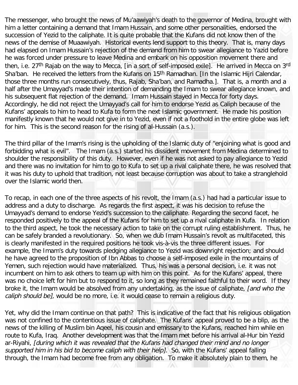The messenger, who brought the news of Mu'aawiyah's death to the governor of Medina, brought with him a letter containing a demand that Imam Hussain, and some other personalities, endorsed the succession of Yezid to the caliphate. It is quite probable that the Kufans did not know then of the news of the demise of Muaawiyah. Historical events lend support to this theory. That is, many days had elapsed on Imam Hussain's rejection of the demand from him to swear allegiance to Yazid before he was forced under pressure to leave Medina and embark on his opposition movement there and then, i.e. 27<sup>th</sup> Rajab on the way to Mecca, [in a sort of self-imposed exile]. He arrived in Mecca on 3rd Sha'ban. He received the letters from the Kufans on 15<sup>th</sup> Ramadhan. [In the Islamic Hijri Calendar, those three months run consecutively, thus, Rajab, Sha'ban, and Ramadha.]. That is, a month and a half after the Umayyad's made their intention of demanding the Imam to swear allegiance known, and his subsequent flat rejection of the demand. Imam Hussain stayed in Mecca for forty days. Accordingly, he did not reject the Umayyad's call for him to endorse Yezid as Caliph because of the Kufans' appeals to him to head to Kufa to form the next Islamic government. He made his position manifestly known that he would not give in to Yezid, even if not a foothold in the entire globe was left for him. This is the second reason for the rising of al-Hussain (a.s.).

The third pillar of the Imam's rising is the upholding of the Islamic duty of "enjoining what is good and forbidding what is evil". The Imam (a.s.) started his dissident movement from Medina determined to shoulder the responsibility of this duty. However, even if he was not asked to pay allegiance to Yezid and there was no invitation for him to go to Kufa to set up a rival caliphate there, he was resolved that it was his duty to uphold that tradition, not least because corruption was about to take a stranglehold over the Islamic world then.

To recap, in each one of the three aspects of his revolt, the Imam (a.s.) had had a particular issue to address and a duty to discharge. As regards the first aspect, it was his decision to refuse the Umayyad's demand to endorse Yezid's succession to the caliphate. Regarding the second facet, he responded positively to the appeal of the Kufans for him to set up a rival caliphate in Kufa. In relation to the third aspect, he took the necessary action to take on the corrupt ruling establishment. Thus, he can be safely branded a revolutionary. So, when we dub Imam Hussain's revolt as multifaceted, this is clearly manifested in the required positions he took vis-à-vis the three different issues. For example, the Imam's duty towards pledging allegiance to Yezid was downright rejection; and should he have agreed to the proposition of Ibn Abbas to choose a self-imposed exile in the mountains of Yemen, such rejection would have materialized. Thus, his was a personal decision, i.e. it was not incumbent on him to ask others to team up with him on this point. As for the Kufans' appeal, there was no choice left for him but to respond to it, so long as they remained faithful to their word. If they broke it, the Imam would be absolved from any undertaking, as the issue of caliphate, [and who the caliph should be], would be no more, i.e. it would cease to remain a religious duty.

Yet, why did the Imam continue on that path? This is indicative of the fact that his religious obligation was not confined to the contentious issue of caliphate. The Kufans' appeal proved to be a blip, as the news of the killing of Muslim bin Aqeel, his cousin and emissary to the Kufans, reached him while en route to Kufa, Iraq. Another development was that the Imam met before his arrival al-Hur bin Yezid ar-Riyahi, [during which it was revealed that the Kufans had changed their mind and no longer supported him in his bid to become caliph with their help]. So, with the Kufans' appeal falling through, the Imam had become free from any obligation. To make it absolutely plain to them, he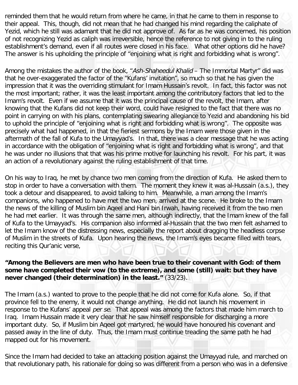reminded them that he would return from where he came, in that he came to them in response to their appeal. This, though, did not mean that he had changed his mind regarding the caliphate of Yezid, which he still was adamant that he did not approve of. As far as he was concerned, his position of not recognizing Yezid as caliph was irreversible, hence the reference to not giving in to the ruling establishment's demand, even if all routes were closed in his face. What other options did he have? The answer is his upholding the principle of "enjoining what is right and forbidding what is wrong".

Among the mistakes the author of the book, "Ash-Shaheedul Khalid – The Immortal Martyr" did was that he over-exaggerated the factor of the "Kufans' invitation", so much so that he has given the impression that it was the overriding stimulant for Imam Hussain's revolt. In fact, this factor was not the most important; rather, it was the least important among the contributory factors that led to the Imam's revolt. Even if we assume that it was the principal cause of the revolt, the Imam, after knowing that the Kufans did not keep their word, could have resigned to the fact that there was no point in carrying on with his plans, contemplating swearing allegiance to Yezid and abandoning his bid to uphold the principle of "enjoining what is right and forbidding what is wrong". The opposite was precisely what had happened, in that the fieriest sermons by the Imam were those given in the aftermath of the fall of Kufa to the Umayyad's. In that, there was a clear message that he was acting in accordance with the obligation of "enjoining what is right and forbidding what is wrong", and that he was under no illusions that that was his prime motive for launching his revolt. For his part, it was an action of a revolutionary against the ruling establishment of that time.

On his way to Iraq, he met by chance two men coming from the direction of Kufa. He asked them to stop in order to have a conversation with them. The moment they knew it was al-Hussain (a.s.), they took a detour and disappeared, to avoid talking to him. Meanwhile, a man among the Imam's companions, who happened to have met the two men, arrived at the scene. He broke to the Imam the news of the killing of Muslim bin Aqeel and Hani bin Irwah, having received it from the two men he had met earlier. It was through the same men, although indirectly, that the Imam knew of the fall of Kufa to the Umayyad's. His companion also informed al-Hussain that the two men felt ashamed to let the Imam know of the distressing news, especially the report about dragging the headless corpse of Muslim in the streets of Kufa. Upon hearing the news, the Imam's eyes became filled with tears, reciting this Qur'anic verse,

## **"Among the Believers are men who have been true to their covenant with God: of them some have completed their vow (to the extreme), and some (still) wait: but they have never changed (their determination) in the least."** (33/23).

The Imam (a.s.) wanted to prove to the people that he did not come for Kufa alone. So, if that province fell to the enemy, it would not change anything. He did not launch his movement in response to the Kufans' appeal per se. That appeal was among the factors that made him march to Iraq. Imam Hussain made it very clear that he saw himself responsible for discharging a more important duty. So, if Muslim bin Aqeel got martyred, he would have honoured his covenant and passed away in the line of duty. Thus, the Imam must continue treading the same path he had mapped out for his movement.

Since the Imam had decided to take an attacking position against the Umayyad rule, and marched on that revolutionary path, his rationale for doing so was different from a person who was in a defensive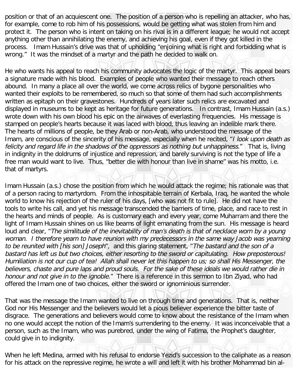position or that of an acquiescent one. The position of a person who is repelling an attacker, who has, for example, come to rob him of his possessions, would be getting what was stolen from him and protect it. The person who is intent on taking on his rival is in a different league; he would not accept anything other than annihilating the enemy, and achieving his goal, even if they got killed in the process. Imam Hussain's drive was that of upholding "enjoining what is right and forbidding what is wrong." It was the mindset of a martyr and the path he decided to walk on.

He who wants his appeal to reach his community advocates the logic of the martyr. This appeal bears a signature made with his blood. Examples of people who wanted their message to reach others abound. In many a place all over the world, we come across relics of bygone personalities who wanted their exploits to be remembered, so much so that some of them had such accomplishments written as epitaph on their gravestones. Hundreds of years later such relics are excavated and displayed in museums to be kept as heritage for future generations. In contrast, Imam Hussain (a.s.) wrote down with his own blood his epic on the airwaves of everlasting frequencies. His message is stamped on people's hearts because it was laced with blood, thus leaving an indelible mark there. The hearts of millions of people, be they Arab or non-Arab, who understood the message of the Imam, are conscious of the sincerity of his message, especially when he recited, "I look upon death as felicity and regard life in the shadows of the oppressors as nothing but unhappiness." That is, living in indignity in the doldrums of injustice and repression, and barely surviving is not the type of life a free man would want to live. Thus, "better die with honour than live in shame" was his motto, i.e. that of martyrs.

Imam Hussain (a.s.) chose the position from which he would attack the regime; his rationale was that of a person racing to martyrdom. From the inhospitable terrain of Kerbala, Iraq, he wanted the whole world to know his rejection of the ruler of his days, [who was not fit to rule]. He did not have the tools to write his call, and yet his message transcended the barriers of time, place, and race to rest in the hearts and minds of people. As is customary each and every year, come Muharram and there the light of Imam Hussain shines on us like beams of light emanating from the sun. His message is heard loud and clear, "The similitude of the inevitability of man's death is that of necklace worn by a young woman. I therefore yearn to have reunion with my predecessors in the same way Jacob was yearning to be reunited with [his son] Joseph", and this glaring statement, "The bastard and the son of a bastard has left us but two choices, either resorting to the sword or capitulating. How preposterous! Humiliation is not our cup of tea! Allah shall never let this happen to us; so shall His Messenger, the believers, chaste and pure laps and proud souls. For the sake of these ideals we would rather die in honour and not give in to the ignoble." There is a reference in this sermon to Ibn Ziyad, who had offered the Imam one of two choices, either the sword or ignominious surrender.

That was the message the Imam wanted to live on through time and generations. That is, neither God nor His Messenger and the believers would let a pious believer experience the bitter taste of disgrace. The generations and believers would come to know about the resistance of the Imam when no one would accept the notion of the Imam's surrendering to the enemy. It was inconceivable that a person, such as the Imam, who was purebred, under the wing of Fatima, the Prophet's daughter, could give in to indignity.

When he left Medina, armed with his refusal to endorse Yezid's succession to the caliphate as a reason for his attack on the repressive regime, he wrote a will and left it with his brother Mohammad bin al